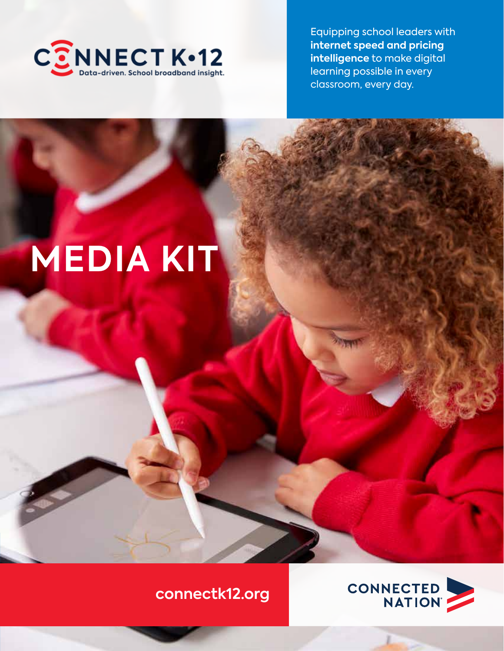

Equipping school leaders with **internet speed and pricing intelligence** to make digital learning possible in every classroom, every day.

# **MEDIA KIT**

5



**connectk12.org**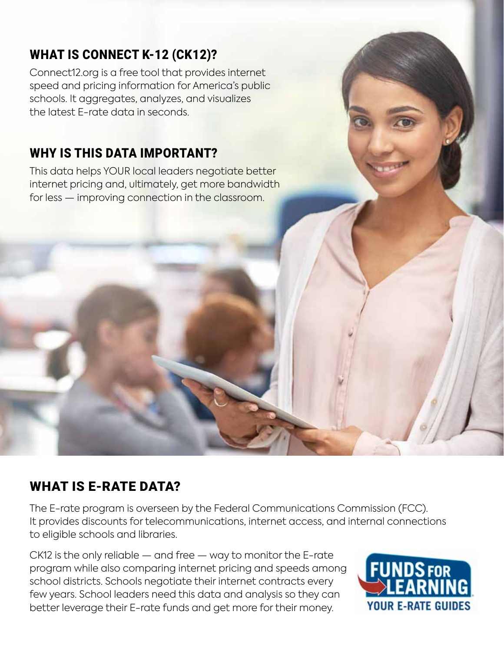## WHAT IS CONNECT K-12 (CK12)?

Connect12.org is a free tool that provides internet speed and pricing information for America's public schools. It aggregates, analyzes, and visualizes the latest E-rate data in seconds.

#### WHY IS THIS DATA IMPORTANT?

This data helps YOUR local leaders negotiate better internet pricing and, ultimately, get more bandwidth for less — improving connection in the classroom.

#### WHAT IS E-RATE DATA?

The E-rate program is overseen by the Federal Communications Commission (FCC). It provides discounts for telecommunications, internet access, and internal connections to eligible schools and libraries.

CK12 is the only reliable — and free — way to monitor the E-rate program while also comparing internet pricing and speeds among school districts. Schools negotiate their internet contracts every few years. School leaders need this data and analysis so they can better leverage their E-rate funds and get more for their money.

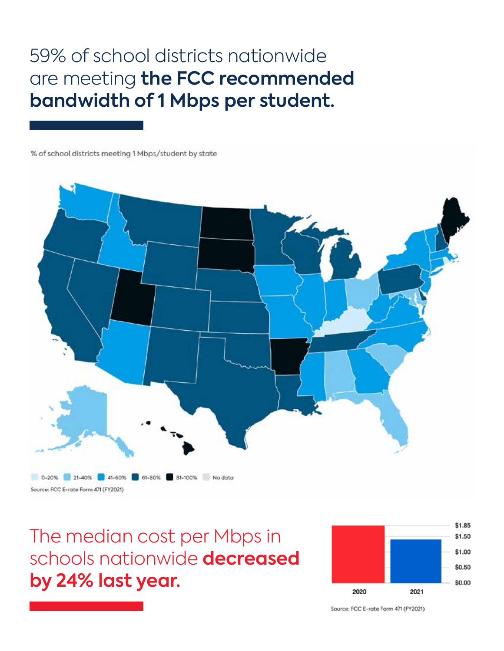# 59% of school districts nationwide are meeting **the FCC recommended bandwidth of 1 Mbps per student.**

% of school districts meeting 1 Mbps/student by state



The median cost per Mbps in schools nationwide **decreased by 24% last year.**



Source: FCC E-rate Form 471 (FY2021)